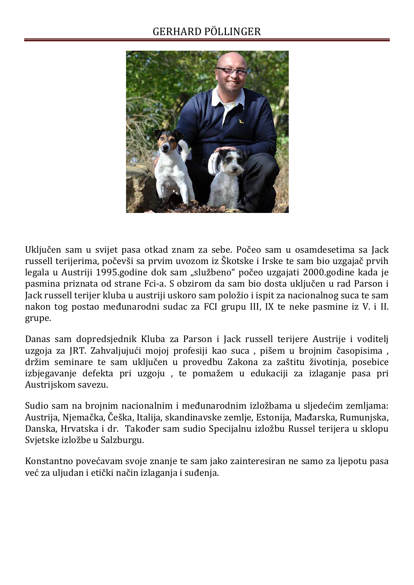## GERHARD PÖLLINGER



Uključen sam u svijet pasa otkad znam za sebe. Počeo sam u osamdesetima sa Jack russell terijerima, počevši sa prvim uvozom iz Škotske i Irske te sam bio uzgajač prvih legala u Austriji 1995.godine dok sam "službeno" počeo uzgajati 2000.godine kada je pasmina priznata od strane Fci-a. S obzirom da sam bio dosta uključen u rad Parson i Jack russell terijer kluba u austriji uskoro sam položio i ispit za nacionalnog suca te sam nakon tog postao međunarodni sudac za FCI grupu III, IX te neke pasmine iz V. i II. grupe.

Danas sam dopredsjednik Kluba za Parson i Jack russell terijere Austrije i voditelj uzgoja za JRT. Zahvaljujući mojoj profesiji kao suca , pišem u brojnim časopisima , držim seminare te sam uključen u provedbu Zakona za zaštitu životinja, posebice izbjegavanje defekta pri uzgoju , te pomažem u edukaciji za izlaganje pasa pri Austrijskom savezu.

Sudio sam na brojnim nacionalnim i međunarodnim izložbama u sljedećim zemljama: Austrija, Njemačka, Češka, Italija, skandinavske zemlje, Estonija, Mađarska, Rumunjska, Danska, Hrvatska i dr. Također sam sudio Specijalnu izložbu Russel terijera u sklopu Svjetske izložbe u Salzburgu.

Konstantno povećavam svoje znanje te sam jako zainteresiran ne samo za ljepotu pasa već za uljudan i etički način izlaganja i suđenja.